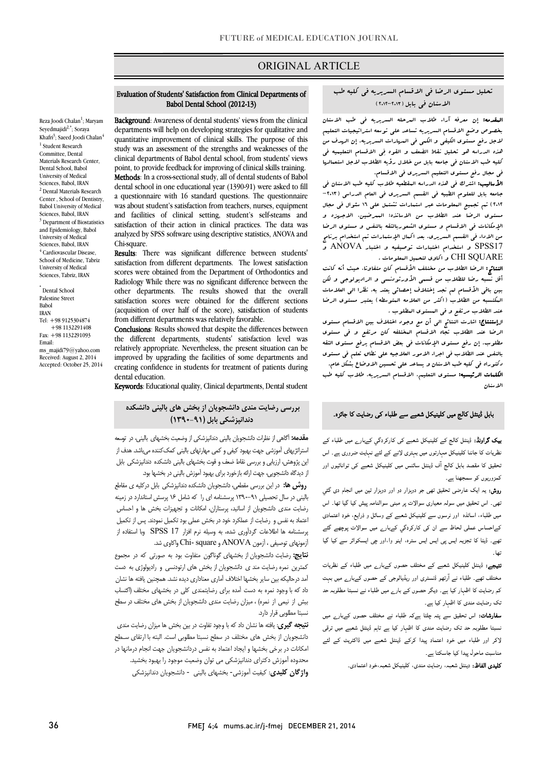## ORIGINAL ARTICLE

 تحلیل مستوي الرضا فی الاقسام السریریه فی کلیه طب الاسنان فی بابل (-۲۰۱۲–۲۰۱۲ )

Ī

 المقدمه: إن معرفه آراء طلاب المرحله السریریه فی طب الاسنان .<br>لاجل رفع مستوى الکیفی و الکسی فی السهارات السریریه. إن الهدف من هذه الدراسه هو تحلیل نقاط الضعف و القوه فی الاقسام التعلیمیه فی کلیه طب الاسنان فی جامعه بابل من خلال رؤیه الطلاب لاجل استعمالها فی مجال رفع مستوي التعلیم السریري فی الاقسام. بخصوص وضع الاقسام السریریه تساعد علی توسعه استراتیجیات التعلیم

جامعه بابل للعلوم الطبیه فی القسم السریری فی العام الدراسی (-2013)<br>جامعه بابل للعلوم الطبیه فی القسم السریری فی العام الدراسی (-1013) 2012) تم تجمیع المعلومات عبر استمارات تشتمل علی 16 سئوال فی مجال مستوي الرضا عند الطلاب من الاساتذه؛ الممرضین، الاجهزه و الإمکانات فی الاقسام و مستوي الشعوربالثقه بالنفس و مستوي الرضا 17SPSS و استخدام اختبارات توصیفیه و اختبار ANOVA و SQUARE CHI و اکاوي لتحمیل المعلومات . الأسالیب: اشترك فی هذه الدراسه المقطعیه طلاب کلیه طب الاسنان فی من الاداء فی القسم السریري. بعد اکمال الإستمارات تم استخدام برنامج

 النتائج: الرضا الطلاب من مختلف الأقسام کان متفاوتا، حیث أنه کانت أقل نسبه رضا للطلاب من قسمی الأورثودنسی و الرادیولوجی و لکن المکتب من المکتب المکتب المکتب المکتب المکتب المکتب المکتب المکتب المکتب الرضا<br>المکتسبه من الطلاب (اکثر من العلامه المتوسطه) یعتبر مستوی الرضا عند الطلاب مرتفع و فی المستوي المطلوب . بین باقی الأقسام لم نجد إختلاف إحصائی یعتد به. نظرا الی العلامات

 الإستنتاج: اشارت النتائج الی أن مع وجود اختلاف بین الاقسام مستوي الرضا عند الطلاب تجاه الاقسام المختلفه کان مرتفع و فی مستوي بالنفس عند الطلاب فی اجراء الامور العلاجیه علی نطاق تعلم فی مستوي دکتوراه فی کلیه طب الاسنان و یساعد علی تحسین الاوضاع بشکل عام. الکلمات الرئیسیه: مستوي التعلیم، الاقسام السریریه، طلاب کلیه طب مطلوب. إن رفع مستوي الإمکانات فی بعض الاقسام یرفع مستوي الثقه الاسنان

# Evaluation of Students' Satisfaction from Clinical Departments of Babol Dental School (2012-13)

Ī

 Background: Awareness of dental students' views from the clinical quantitative improvement of clinical skills. The purpose of this study was an assessment of the strengths and weaknesses of the Reza Joodi Chalan<sup>1</sup>; Maryam Seyedmajidi<sup>2,\*</sup>; Soraya Khafri<sup>3</sup>; Saeed Joodi Chalan<sup>4</sup>  $^{\rm 1}$  Student Research Committee, Dental Materials Research Center, Dental School, Babol University of Medical Sciences, Babol, IRAN <sup>2</sup> Dental Materials Research Center, School of Dentistry Babol University of Medical Sciences, Babol, IRAN <sup>3</sup> Department of Biostatistics and Epidemiology, Babol University of Medical Sciences, Babol, IRAN  $^4$  Cardiovascular Disease School of Medicine, Tabriz University of Medical Sciences, Tabriz, IRAN departments will help on developing strategies for qualitative and clinical departments of Babol dental school, from students' views

\* Dental School Palestine Street Babol IRAN Tel: +98 9125304874 +98 1132291408  $F_{\text{av}}$ : +98 1132291093 Email: ms\_majidi79@yahoo.com Received: August 2, 2014 Accepted: October 25, 2014

 point, to provide feedback for improving of clinical skills training. Methods: In a cross-sectional study, all of dental students of Babol dental school in one educational year (1390-91) were asked to fill was about student's satisfaction from teachers, nurses, equipment and facilities of clinical setting, student's self-steams and analyzed by SPSS software using descriptive statistics, ANOVA and Results: There was significant difference between students' scores were obtained from the Department of Orthodontics and a questionnaire with 16 standard questions. The questionnaire satisfaction of their action in clinical practices. The data was Chi-square. satisfaction from different departments. The lowest satisfaction

 Radiology While there was no significant difference between the other departments. The results showed that the overall (acquisition of over half of the score), satisfaction of students from different departments was relatively favorable. satisfaction scores were obtained for the different sections

 the different departments, students' satisfaction level was relatively appropriate. Nevertheless, the present situation can be improved by upgrading the facilities of some departments and Conclusions: Results showed that despite the differences between creating confidence in students for treatment of patients during dental education.

Keywords: Educational quality, Clinical departments, Dental student

 بررسی رضایت مندي دانشجویان از بخش هاي بالینی دانشکده ت<br>دندانپزشکی بابل (۹۱-۱۳۹۰)

 مقدمه: آگاهی از نظرات دانشجویان بالینی دندانپزشکی از وضعیت بخشهاي بالینی، در توسعه استراتژیهاي آموزشی جهت بهبودکیفی و کمی مهارتهاي بالینی کمککننده میباشد. هدف از ین پروست «رزینی و بزرسی سه سمند و حرب به سب ی بسیمی شست سه سد<br>ز دیدگاه دانشجویی، جهت ارائه بازخورد برای بهبود آموزش بالینی در بخشها بود. این پژوهش، ارزیابی و بررسی نقاط ضعف و قوت بخشهاي بالینی دانشکده دندانپزشکی بابل

ریب در در این بررسی مقطعی، دانشجویان دانشکده دندانپزشکی بابل درکلیه ی مقاطع<br>**روش ها:** در این بررسی مقطعی، دانشجویان دانشکده دندانپزشکی بابل درکلیه ی مقاطع بالینی در سال تحصیلی -91 1390 پرسشنامه اي را که شامل 16 پرسش استاندارد در زمینه رضایت مندي دانشجویان از اساتید، پرستاران، امکانات و تجهیزات بخش ها و احساس اعتماد بهنفس و رضایت از عملکرد خود در بخش عملی بود تکمیل نمودند. پس از تکمیل پرسشنامه ها اطلاعات گردآوري شده، به وسیله نرم افزار 17 SPSS وبا استفاده از آزمونهاي توصیفی ، آزمون ANOVA و square-Chi واکاوي شد.

ن**تایج:** رضایت دانشجویان از بخشهای گوناگون متفاوت بود به صورتی که در مجموع<br>. آمد درحالیکه بین سایر بخشها اختلاف آماري معناداري دیده نشد. همچنین یافته ها نشان داد که با وجود نمره به دست آمده براي رضایتمندي کلی در بخشهاي مختلف (اکتساب بیش از نیمی از نمره) ، میزان رضایت مندي دانشجویان از بخش هاي مختلف در سطح کمترین نمره رضایت مند ي دانشجویان از بخش هاي ارتودنسی و رادیولوژي به دست نسبتا مطلوبی قرار دارد.

 نتیجه گیري: یافته ها نشان داد که با وجود تفاوت در بین بخش ها میزان رضایت مندي دانشجویان از بخش هاي مختلف در سطح نسبتا مطلوبی است. البته با ارتقاي سـطح مکانات در برخی بخشها و ایجاد اعتماد به نفس دردانشجویان جهت انجام درمانها در<br>-Î **واژگان کلیدی**: کیفیت آموزشی- بخشهای بالینی - دانشجویان دندانپزشکی<br>. محدوده آموزش دکتراي دندانپزشکی می توان وضعیت موجود را بهبود بخشید.

#### بابل ڈینٹل کالج میں کلینیکل شعبے سے طلباء کی رضایت کا جائزہ۔

**ییک گراونڈ:** ڈینٹل کالج کے کلینیکل شعبے کی کارکردگی کےبار<sub>ے</sub> میں طلباء کے نظریات کا جاننا کلینیکل مہارتوں میں بہتری لانے کے لئے نہایت ضروری ہے۔ اس نحقیق کا مقصد بابل کالج آف ڈینٹل سائنس میں کلینیکل شعبے کی توانائیوں اور کمزوریوں کو سمجھنا ہے۔

**روش:** یہ ایک عارضی تحقیق تھی جو دوہزار دو اور دوہزار تین میں انجام دی گئبي نھی۔ اس تحقیق میں سولہ معیاری سوالات پر مبنی سوالنامہ پیش کیا گیا تھا۔ اس میں طلباء، اساتذہ اور نرسوں سے کلینیکل شعبے کے وسائل و ذرایع، خود اعتمادی<br>۔ کےاحساس عملی لحاظ سے ان کی کارکردگي کےبارے میں سوالات پوچھے گئے۔<br>مسلمان نھے۔ ڈیٹا کا تجزیہ ایس پی ایس ایس سترہ، اینو وا،اور چی ایسکوائر سے کیا گیا ۔<br>۔ ۔

۔<br>**نتیجے:** ڈینٹل کلینیکل شعبے کے مختلف حصوں کےبار<sub>ے</sub> میں طلباء کے نظریات ۔<br>مختلف تھے۔ طلباء نے آرتھو ڈنسٹری اور ریڈیالوجی کے حصوں کےبارے میں بہت ۔<br>کم رضایت کا اظہار کیا ہے۔ دیگر حصوں کے بار<sub>ے</sub> میں طلباء نے نسبتا مطلوبہ حد نک رضایت مندی کا اظہار کیا ہے۔

۔<br><mark>سفارشات:</mark> اس تحقیق سے پتہ چلتا ہےکہ طلباء نے مختلف حصوں کےبار<sub>ے</sub> میں ۔<br>سبتا مطلوبہ حد تک رضایت مندی کا اظہار کیا ہے تاہم ڈینٹل شعبے میں ترقی ۔<br>لاکر اور طلباء میں خود اعتماد پیدا کرکے ڈینٹل شعبے میں ڈاکٹریٹ کے لئے مناسبت ماحول پیدا کیا جاسکتا ہے۔

**کلیدی الفاظ:** دینٹل شعبہ، رضایت مندی، کلینیکل شعبہ،خود اعتمادی۔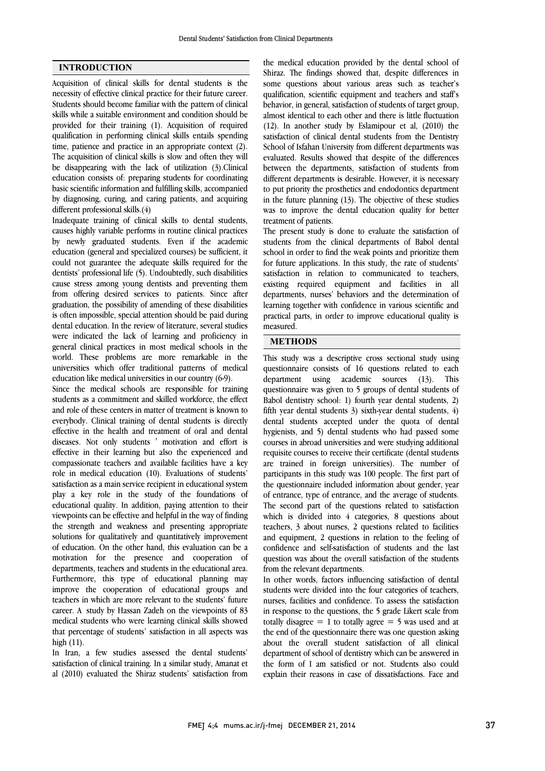### INTRODUCTION

Acquisition of clinical skills for dental students is the necessity of effective clinical practice for their future career. Students should become familiar with the pattern of clinical skills while a suitable environment and condition should be provided for their training (1). Acquisition of required qualification in performing clinical skills entails spending time, patience and practice in an appropriate context (2). The acquisition of clinical skills is slow and often they will be disappearing with the lack of utilization (3).Clinical education consists of: preparing students for coordinating basic scientific information and fulfilling skills, accompanied by diagnosing, curing, and caring patients, and acquiring different professional skills.(4)

Inadequate training of clinical skills to dental students, causes highly variable performs in routine clinical practices by newly graduated students. Even if the academic education (general and specialized courses) be sufficient, it could not guarantee the adequate skills required for the dentists' professional life (5). Undoubtedly, such disabilities cause stress among young dentists and preventing them from offering desired services to patients. Since after graduation, the possibility of amending of these disabilities is often impossible, special attention should be paid during dental education. In the review of literature, several studies were indicated the lack of learning and proficiency in general clinical practices in most medical schools in the world. These problems are more remarkable in the universities which offer traditional patterns of medical education like medical universities in our country (6-9).

Since the medical schools are responsible for training students as a commitment and skilled workforce, the effect and role of these centers in matter of treatment is known to everybody. Clinical training of dental students is directly effective in the health and treatment of oral and dental diseases. Not only students ' motivation and effort is effective in their learning but also the experienced and compassionate teachers and available facilities have a key role in medical education (10). Evaluations of students' satisfaction as a main service recipient in educational system play a key role in the study of the foundations of educational quality. In addition, paying attention to their viewpoints can be effective and helpful in the way of finding the strength and weakness and presenting appropriate solutions for qualitatively and quantitatively improvement of education. On the other hand, this evaluation can be a motivation for the presence and cooperation of departments, teachers and students in the educational area. Furthermore, this type of educational planning may improve the cooperation of educational groups and teachers in which are more relevant to the students' future career. A study by Hassan Zadeh on the viewpoints of 83 medical students who were learning clinical skills showed that percentage of students' satisfaction in all aspects was high (11).

In Iran, a few studies assessed the dental students' satisfaction of clinical training. In a similar study, Amanat et al (2010) evaluated the Shiraz students' satisfaction from  the medical education provided by the dental school of Shiraz. The findings showed that, despite differences in some questions about various areas such as teacher's qualification, scientific equipment and teachers and staff's almost identical to each other and there is little fluctuation (12). In another study by Eslamipour et al, (2010) the satisfaction of clinical dental students from the Dentistry School of Isfahan University from different departments was between the departments, satisfaction of students from different departments is desirable. However, it is necessary to put priority the prosthetics and endodontics department in the future planning (13). The objective of these studies treatment of patients. behavior, in general, satisfaction of students of target group, evaluated. Results showed that despite of the differences was to improve the dental education quality for better

 The present study is done to evaluate the satisfaction of students from the clinical departments of Babol dental school in order to find the weak points and prioritize them satisfaction in relation to communicated to teachers, existing required equipment and facilities in all departments, nurses' behaviors and the determination of learning together with confidence in various scientific and measured. for future applications. In this study, the rate of students' practical parts, in order to improve educational quality is

### **METHODS** ׇ֖֖֖֖֖֖֖֖֖֖֖֖֧ׅ֖֖֖֖֖֖֖֖֖֖֖֖֖֖֧֧֪֪֪֪֪֪֪֪֪֪֧֖֧֧֪֧֧֧֧ׅ֧֧֧֧֧֖֧֧֧֧֚֚֚֚֚֚֚֚֚֚֚֚֚֚֚֚֚֚֚֚֚֚֚֚֚֚֚֡֞֝֝֓֞֝֝֞<br>֧֧֪֪֪֪֪֪֪֪֜

 This study was a descriptive cross sectional study using department using academic sources (13). This questionnaire was given to 5 groups of dental students of Babol dentistry school: 1) fourth year dental students, 2) fifth year dental students 3) sixth-year dental students, 4) hygienists, and 5) dental students who had passed some courses in abroad universities and were studying additional requisite courses to receive their certificate (dental students are trained in foreign universities). The number of the questionnaire included information about gender, year of entrance, type of entrance, and the average of students. The second part of the questions related to satisfaction which is divided into 4 categories, 8 questions about and equipment, 2 questions in relation to the feeling of confidence and self-satisfaction of students and the last question was about the overall satisfaction of the students questionnaire consists of 16 questions related to each dental students accepted under the quota of dental participants in this study was 100 people. The first part of teachers, 3 about nurses, 2 questions related to facilities from the relevant departments.

 In other words, factors influencing satisfaction of dental students were divided into the four categories of teachers, nurses, facilities and confidence. To assess the satisfaction in response to the questions, the 5 grade Likert scale from totally disagree  $= 1$  to totally agree  $= 5$  was used and at about the overall student satisfaction of all clinical department of school of dentistry which can be answered in the form of I am satisfied or not. Students also could explain their reasons in case of dissatisfactions. Face and the end of the questionnaire there was one question asking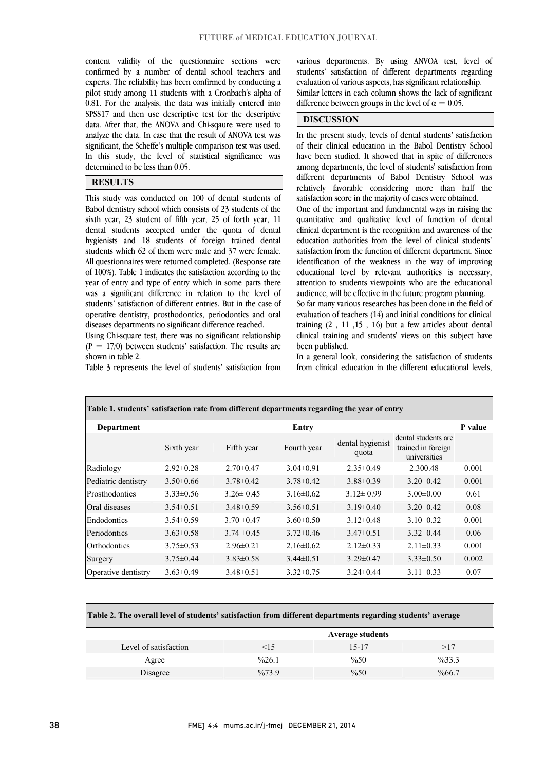$\overline{\phantom{a}}$  $\overline{\phantom{a}}$ 

ֺ֘ ֺ

 content validity of the questionnaire sections were confirmed by a number of dental school teachers and experts. The reliability has been confirmed by conducting a phot study among 11 students with a Crombach's alpha of 0.81. For the analysis, the data was initially entered into SPSS17 and then use descriptive test for the descriptive data. After that, the ANOVA and Chi-sqaure were used to analyze the data. In case that the result of ANOVA test was significant, the Scheffe's multiple comparison test was used. pilot study among 11 students with a Cronbach's alpha of In this study, the level of statistical significance was determined to be less than 0.05.

#### RESULTS

 Babol dentistry school which consists of 23 students of the sixth year, 23 student of fifth year, 25 of forth year, 11 dental students accepted under the quota of dental hygienists and 18 students of foreign trained dental students which 62 of them were male and 37 were female. of 100%). Table 1 indicates the satisfaction according to the year of entry and type of entry which in some parts there was a significant difference in relation to the level of operative dentistry, prosthodontics, periodontics and oral diseases departments no significant difference reached. This study was conducted on 100 of dental students of All questionnaires were returned completed. (Response rate students' satisfaction of different entries. But in the case of

 Using Chi-square test, there was no significant relationship  $(P = 17/0)$  between students' satisfaction. The results are shown in table 2.

Table 3 represents the level of students' satisfaction from

 various departments. By using ANVOA test, level of students' satisfaction of different departments regarding evaluation of various aspects, has significant relationship. ו<br>י difference between groups in the level of  $\alpha = 0.05$ . Similar letters in each column shows the lack of significant

 $\overline{a}$ 

 $\overline{a}$ 

### DISCUSSION

 In the present study, levels of dental students' satisfaction of their clinical education in the Babol Dentistry School among departments, the level of students' satisfaction from different departments of Babol Dentistry School was relatively favorable considering more than half the One of the important and fundamental ways in raising the quantitative and qualitative level of function of dental clinical department is the recognition and awareness of the education authorities from the level of clinical students' satisfaction from the function of different department. Since educational level by relevant authorities is necessary, attention to students viewpoints who are the educational audience, will be effective in the future program planning. have been studied. It showed that in spite of differences satisfaction score in the majority of cases were obtained. identification of the weakness in the way of improving

 evaluation of teachers (14) and initial conditions for clinical training  $(2, 11, 15, 16)$  but a few articles about dental clinical training and students' views on this subject have So far many various researches has been done in the field of been published.

from clinical education in the different educational levels, In a general look, considering the satisfaction of students

| Table 1. students' satisfaction rate from different departments regarding the year of entry |                 |                 |                 |                           |                                                           |         |  |  |  |  |
|---------------------------------------------------------------------------------------------|-----------------|-----------------|-----------------|---------------------------|-----------------------------------------------------------|---------|--|--|--|--|
| Department                                                                                  |                 |                 | Entry           |                           |                                                           | P value |  |  |  |  |
|                                                                                             | Sixth year      | Fifth year      | Fourth year     | dental hygienist<br>quota | dental students are<br>trained in foreign<br>universities |         |  |  |  |  |
| Radiology                                                                                   | $2.92 \pm 0.28$ | $2.70 \pm 0.47$ | $3.04\pm0.91$   | $2.35\pm0.49$             | 2.300.48                                                  | 0.001   |  |  |  |  |
| Pediatric dentistry                                                                         | $3.50\pm0.66$   | $3.78 \pm 0.42$ | $3.78 \pm 0.42$ | $3.88 \pm 0.39$           | $3.20 \pm 0.42$                                           | 0.001   |  |  |  |  |
| Prosthodontics                                                                              | $3.33 \pm 0.56$ | $3.26 \pm 0.45$ | $3.16\pm0.62$   | $3.12 \pm 0.99$           | $3.00 \pm 0.00$                                           | 0.61    |  |  |  |  |
| Oral diseases                                                                               | $3.54 \pm 0.51$ | $3.48 \pm 0.59$ | $3.56\pm0.51$   | $3.19\pm0.40$             | $3.20 \pm 0.42$                                           | 0.08    |  |  |  |  |
| Endodontics                                                                                 | $3.54\pm0.59$   | $3.70 \pm 0.47$ | $3.60 \pm 0.50$ | $3.12\pm0.48$             | $3.10 \pm 0.32$                                           | 0.001   |  |  |  |  |
| Periodontics                                                                                | $3.63 \pm 0.58$ | $3.74 \pm 0.45$ | $3.72 \pm 0.46$ | $3.47\pm0.51$             | $3.32\pm0.44$                                             | 0.06    |  |  |  |  |
| Orthodontics                                                                                | $3.75 \pm 0.53$ | $2.96\pm0.21$   | $2.16\pm0.62$   | $2.12\pm0.33$             | $2.11 \pm 0.33$                                           | 0.001   |  |  |  |  |
| Surgery                                                                                     | $3.75 \pm 0.44$ | $3.83\pm0.58$   | $3.44\pm0.51$   | $3.29 \pm 0.47$           | $3.33\pm0.50$                                             | 0.002   |  |  |  |  |
| Operative dentistry                                                                         | $3.63 \pm 0.49$ | $3.48 \pm 0.51$ | $3.32 \pm 0.75$ | $3.24 \pm 0.44$           | $3.11 \pm 0.33$                                           | 0.07    |  |  |  |  |

| Table 2. The overall level of students' satisfaction from different departments regarding students' average |                         |        |                   |  |  |  |  |  |
|-------------------------------------------------------------------------------------------------------------|-------------------------|--------|-------------------|--|--|--|--|--|
|                                                                                                             | <b>Average students</b> |        |                   |  |  |  |  |  |
| Level of satisfaction                                                                                       | $\leq$ 15               | 15-17  | >17               |  |  |  |  |  |
| Agree                                                                                                       | $\frac{9}{626}$ .1      | $\%50$ | $\frac{9}{6}33.3$ |  |  |  |  |  |
| Disagree                                                                                                    | $\frac{0}{073}$ 9       | $\%50$ | $\%66.7$          |  |  |  |  |  |

l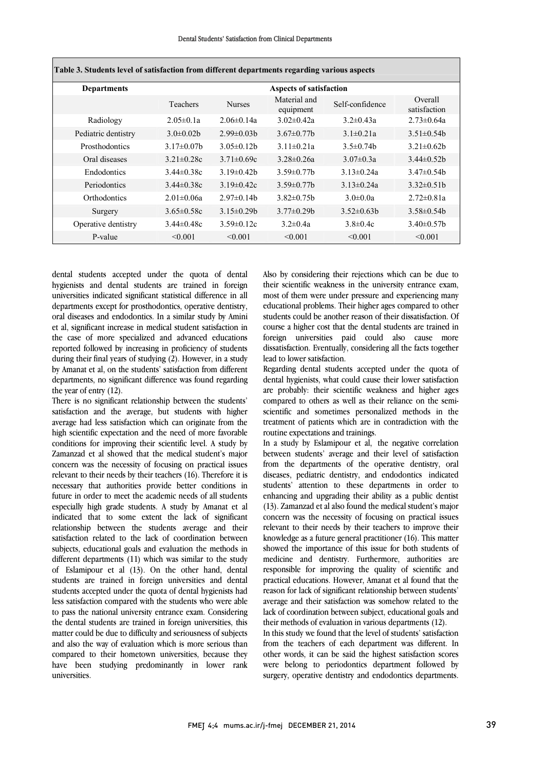$\overline{a}$ 

| Table 3. Students level of satisfaction from different departments regarding various aspects |                  |                   |                           |                   |                         |  |  |  |  |
|----------------------------------------------------------------------------------------------|------------------|-------------------|---------------------------|-------------------|-------------------------|--|--|--|--|
| <b>Departments</b>                                                                           |                  |                   |                           |                   |                         |  |  |  |  |
|                                                                                              | <b>Teachers</b>  | <b>Nurses</b>     | Material and<br>equipment | Self-confidence   | Overall<br>satisfaction |  |  |  |  |
| Radiology                                                                                    | $2.05 \pm 0.1a$  | $2.06 \pm 0.14a$  | $3.02\pm0.42a$            | $3.2 \pm 0.43a$   | $2.73 \pm 0.64a$        |  |  |  |  |
| Pediatric dentistry                                                                          | $3.0 \pm 0.02 b$ | $2.99 \pm 0.03 b$ | $3.67 \pm 0.77$ b         | $3.1 \pm 0.21a$   | $3.51 \pm 0.54$         |  |  |  |  |
| <b>Prosthodontics</b>                                                                        | $3.17\pm0.07$ b  | $3.05\pm0.12h$    | $3.11 \pm 0.21a$          | $3.5\pm 0.74h$    | $3.21 \pm 0.62$         |  |  |  |  |
| Oral diseases                                                                                | $3.21 \pm 0.28c$ | $3.71 \pm 0.69c$  | $3.28 \pm 0.26a$          | $3.07 \pm 0.3a$   | $3.44 \pm 0.52 b$       |  |  |  |  |
| Endodontics                                                                                  | $3.44\pm0.38c$   | $3.19 \pm 0.42$ b | $3.59 \pm 0.77$ b         | $3.13 \pm 0.24a$  | $3.47\pm 0.54h$         |  |  |  |  |
| Periodontics                                                                                 | $3.44 \pm 0.38c$ | $3.19 \pm 0.42c$  | $3.59 \pm 0.77 b$         | $3.13 \pm 0.24a$  | $3.32 \pm 0.51 b$       |  |  |  |  |
| Orthodontics                                                                                 | $2.01 \pm 0.06a$ | $2.97\pm 0.14h$   | $3.82\pm0.75$ b           | $3.0 \pm 0.0a$    | $2.72 \pm 0.81a$        |  |  |  |  |
| Surgery                                                                                      | $3.65 \pm 0.58c$ | $3.15 \pm 0.29 b$ | $3.77 \pm 0.29 b$         | $3.52 \pm 0.63 b$ | $3.58 \pm 0.54 b$       |  |  |  |  |
| Operative dentistry                                                                          | $3.44\pm0.48c$   | $3.59 \pm 0.12c$  | $3.2 \pm 0.4a$            | $3.8 \pm 0.4c$    | $3.40 \pm 0.57$         |  |  |  |  |
| P-value                                                                                      | < 0.001          | < 0.001           | < 0.001                   | < 0.001           | < 0.001                 |  |  |  |  |

dental students accepted under the quota of dental hygienists and dental students are trained in foreign universities indicated significant statistical difference in all departments except for prosthodontics, operative dentistry, oral diseases and endodontics. In a similar study by Amini et al, significant increase in medical student satisfaction in the case of more specialized and advanced educations reported followed by increasing in proficiency of students during their final years of studying (2). However, in a study by Amanat et al, on the students' satisfaction from different departments, no significant difference was found regarding the year of entry (12).

There is no significant relationship between the students' satisfaction and the average, but students with higher average had less satisfaction which can originate from the high scientific expectation and the need of more favorable conditions for improving their scientific level. A study by Zamanzad et al showed that the medical student's major concern was the necessity of focusing on practical issues relevant to their needs by their teachers (16). Therefore it is necessary that authorities provide better conditions in future in order to meet the academic needs of all students especially high grade students. A study by Amanat et al indicated that to some extent the lack of significant relationship between the students average and their satisfaction related to the lack of coordination between subjects, educational goals and evaluation the methods in different departments (11) which was similar to the study of Eslamipour et al (13). On the other hand, dental students are trained in foreign universities and dental students accepted under the quota of dental hygienists had less satisfaction compared with the students who were able to pass the national university entrance exam. Considering the dental students are trained in foreign universities, this matter could be due to difficulty and seriousness of subjects and also the way of evaluation which is more serious than compared to their hometown universities, because they have been studying predominantly in lower rank universities.

 Also by considering their rejections which can be due to their scientific weakness in the university entrance exam, most of them were under pressure and experiencing many educational problems. Their higher ages compared to other course a higher cost that the dental students are trained in foreign universities paid could also cause more dissatisfaction. Eventually, considering all the facts together lead to lower satisfaction. students could be another reason of their dissatisfaction. Of

 dental hygienists, what could cause their lower satisfaction are probably: their scientific weakness and higher ages compared to others as well as their reliance on the semi- scientific and sometimes personalized methods in the routine expectations and trainings. Regarding dental students accepted under the quota of treatment of patients which are in contradiction with the

 In a study by Eslamipour et al, the negative correlation between students' average and their level of satisfaction from the departments of the operative dentistry, oral students' attention to these departments in order to enhancing and upgrading their ability as a public dentist (13). Zamanzad et al also found the medical student's major concern was the necessity of focusing on practical issues knowledge as a future general practitioner (16). This matter showed the importance of this issue for both students of medicine and dentistry. Furthermore, authorities are responsible for improving the quality of scientific and reason for lack of significant relationship between students' average and their satisfaction was somehow related to the lack of coordination between subject, educational goals and their methods of evaluation in various departments (12). diseases, pediatric dentistry, and endodontics indicated relevant to their needs by their teachers to improve their practical educations. However, Amanat et al found that the

from the teachers of each department was different. In other words, it can be said the highest satisfaction scores were belong to periodontics department followed by surgery, operative dentistry and endodontics departments. In this study we found that the level of students' satisfaction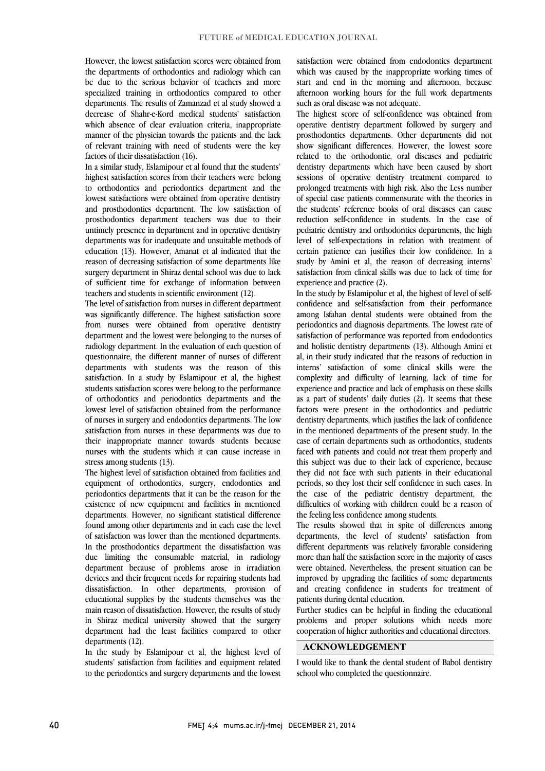However, the lowest satisfaction scores were obtained from the departments of orthodontics and radiology which can be due to the serious behavior of teachers and more departments. The results of Zamanzad et al study showed a decrease of Shahr-e-Kord medical students' satisfaction which absence of clear evaluation criteria, inappropriate manner of the physician towards the patients and the lack of relevant training with need of students were the key specialized training in orthodontics compared to other factors of their dissatisfaction (16).

 In a similar study, Eslamipour et al found that the students' highest satisfaction scores from their teachers were belong to orthodontics and periodontics department and the and prosthodontics department. The low satisfaction of prosthodontics department teachers was due to their untimely presence in department and in operative dentistry departments was for inadequate and unsuitable methods of education (13). However, Amanat et al indicated that the surgery department in Shiraz dental school was due to lack of sufficient time for exchange of information between teachers and students in scientific environment (12). lowest satisfactions were obtained from operative dentistry reason of decreasing satisfaction of some departments like

 was significantly difference. The highest satisfaction score from nurses were obtained from operative dentistry department and the lowest were belonging to the nurses of radiology department. In the evaluation of each question of departments with students was the reason of this satisfaction. In a study by Eslamipour et al, the highest students satisfaction scores were belong to the performance of orthodontics and periodontics departments and the of nurses in surgery and endodontics departments. The low satisfaction from nurses in these departments was due to their inappropriate manner towards students because nurses with the students which it can cause increase in The level of satisfaction from nurses in different department questionnaire, the different manner of nurses of different lowest level of satisfaction obtained from the performance stress among students (13).

 The highest level of satisfaction obtained from facilities and equipment of orthodontics, surgery, endodontics and periodontics departments that it can be the reason for the existence of new equipment and facilities in mentioned found among other departments and in each case the level of satisfaction was lower than the mentioned departments. In the prosthodontics department the dissatisfaction was due limiting the consumable material, in radiology devices and their frequent needs for repairing students had dissatisfaction. In other departments, provision of educational supplies by the students themselves was the main reason of dissatisfaction. However, the results of study department had the least facilities compared to other departments. However, no significant statistical difference department because of problems arose in irradiation in Shiraz medical university showed that the surgery departments (12).

 In the study by Eslamipour et al, the highest level of students' satisfaction from facilities and equipment related to the periodontics and surgery departments and the lowest

 satisfaction were obtained from endodontics department which was caused by the inappropriate working times of start and end in the morning and afternoon, because afternoon working hours for the full work departments such as oral disease was not adequate.

 The highest score of self-confidence was obtained from operative dentistry department followed by surgery and prosthodontics departments. Other departments did not show significant differences. However, the lowest score dentistry departments which have been caused by short sessions of operative dentistry treatment compared to prolonged treatments with high risk. Also the Less number the students' reference books of oral diseases can cause reduction self-confidence in students. In the case of pediatric dentistry and orthodontics departments, the high level of self-expectations in relation with treatment of study by Amini et al, the reason of decreasing interns' satisfaction from clinical skills was due to lack of time for related to the orthodontic, oral diseases and pediatric of special case patients commensurate with the theories in certain patience can justifies their low confidence. In a experience and practice (2).

 In the study by Eslamipolur et al, the highest of level of self- among Isfahan dental students were obtained from the periodontics and diagnosis departments. The lowest rate of satisfaction of performance was reported from endodontics and holistic dentistry departments (13). Although Amini et interns' satisfaction of some clinical skills were the complexity and difficulty of learning, lack of time for experience and practice and lack of emphasis on these skills as a part of students' daily duties (2). It seems that these factors were present in the orthodontics and pediatric in the mentioned departments of the present study. In the case of certain departments such as orthodontics, students faced with patients and could not treat them properly and they did not face with such patients in their educational periods, so they lost their self confidence in such cases. In the case of the pediatric dentistry department, the difficulties of working with children could be a reason of confidence and self-satisfaction from their performance al, in their study indicated that the reasons of reduction in dentistry departments, which justifies the lack of confidence this subject was due to their lack of experience, because the feeling less confidence among students.

 The results showed that in spite of differences among departments, the level of students' satisfaction from different departments was relatively favorable considering more than half the satisfaction score in the majority of cases improved by upgrading the facilities of some departments and creating confidence in students for treatment of were obtained. Nevertheless, the present situation can be patients during dental education.

 Further studies can be helpful in finding the educational cooperation of higher authorities and educational directors. problems and proper solutions which needs more

 $\overline{a}$  $\overline{a}$ 

### ACKNOWLEDGEMENT

 I would like to thank the dental student of Babol dentistry school who completed the questionnaire.